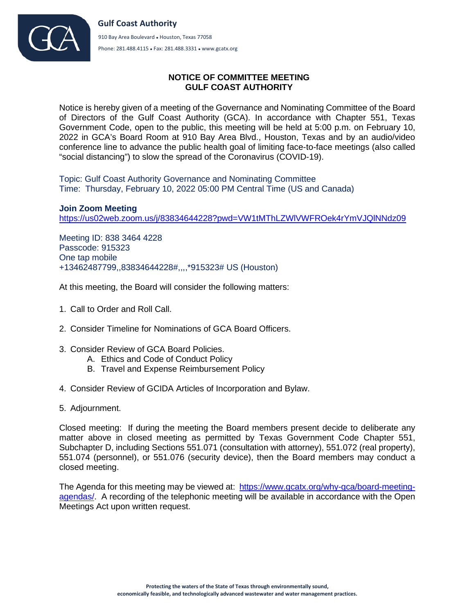

## **NOTICE OF COMMITTEE MEETING GULF COAST AUTHORITY**

Notice is hereby given of a meeting of the Governance and Nominating Committee of the Board of Directors of the Gulf Coast Authority (GCA). In accordance with Chapter 551, Texas Government Code, open to the public, this meeting will be held at 5:00 p.m. on February 10, 2022 in GCA's Board Room at 910 Bay Area Blvd., Houston, Texas and by an audio/video conference line to advance the public health goal of limiting face-to-face meetings (also called "social distancing") to slow the spread of the Coronavirus (COVID-19).

Topic: Gulf Coast Authority Governance and Nominating Committee Time: Thursday, February 10, 2022 05:00 PM Central Time (US and Canada)

**Join Zoom Meeting** <https://us02web.zoom.us/j/83834644228?pwd=VW1tMThLZWlVWFROek4rYmVJQlNNdz09>

Meeting ID: 838 3464 4228 Passcode: 915323 One tap mobile +13462487799,,83834644228#,,,,\*915323# US (Houston)

At this meeting, the Board will consider the following matters:

- 1. Call to Order and Roll Call.
- 2. Consider Timeline for Nominations of GCA Board Officers.
- 3. Consider Review of GCA Board Policies.
	- A. Ethics and Code of Conduct Policy
	- B. Travel and Expense Reimbursement Policy
- 4. Consider Review of GCIDA Articles of Incorporation and Bylaw.
- 5. Adjournment.

Closed meeting: If during the meeting the Board members present decide to deliberate any matter above in closed meeting as permitted by Texas Government Code Chapter 551, Subchapter D, including Sections 551.071 (consultation with attorney), 551.072 (real property), 551.074 (personnel), or 551.076 (security device), then the Board members may conduct a closed meeting.

The Agenda for this meeting may be viewed at: [https://www.gcatx.org/why-gca/board-meeting](https://www.gcatx.org/why-gca/board-meeting-agendas/)[agendas/.](https://www.gcatx.org/why-gca/board-meeting-agendas/) A recording of the telephonic meeting will be available in accordance with the Open Meetings Act upon written request.